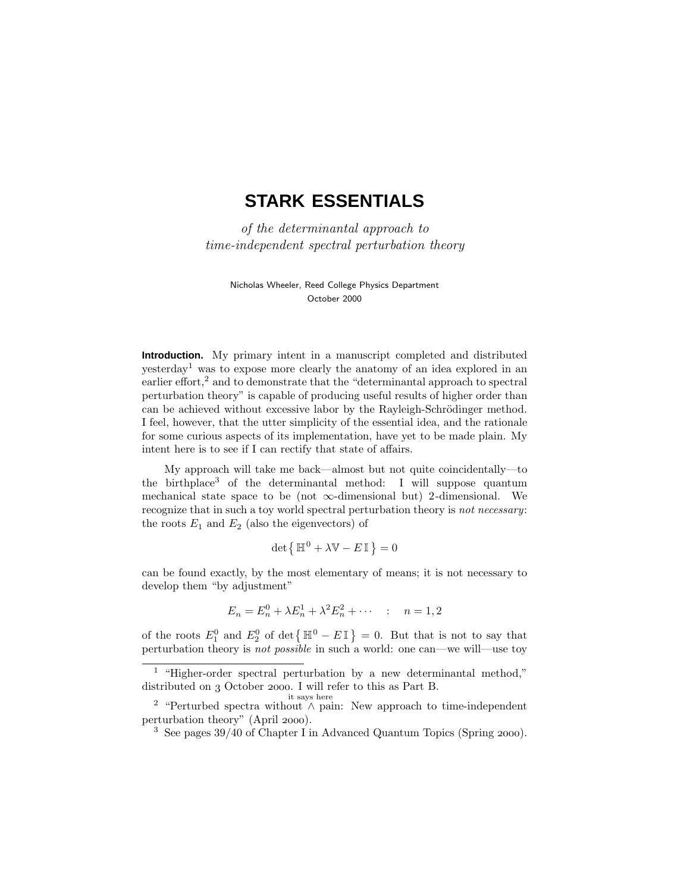# **STARK ESSENTIALS**

of the determinantal approach to time-independent spectral perturbation theory

> Nicholas Wheeler, Reed College Physics Department October 2000

**Introduction.** My primary intent in a manuscript completed and distributed yesterday<sup>1</sup> was to expose more clearly the anatomy of an idea explored in an earlier effort,<sup>2</sup> and to demonstrate that the "determinantal approach to spectral perturbation theory" is capable of producing useful results of higher order than can be achieved without excessive labor by the Rayleigh-Schrödinger method. I feel, however, that the utter simplicity of the essential idea, and the rationale for some curious aspects of its implementation, have yet to be made plain. My intent here is to see if I can rectify that state of affairs.

My approach will take me back—almost but not quite coincidentally—to the birthplace<sup>3</sup> of the determinantal method: I will suppose quantum mechanical state space to be (not  $\infty$ -dimensional but) 2-dimensional. We recognize that in such a toy world spectral perturbation theory is not necessary: the roots  $E_1$  and  $E_2$  (also the eigenvectors) of

$$
\det\{\,\mathbb{H}^0 + \lambda \mathbb{V} - E\,\mathbb{I}\,\} = 0
$$

can be found exactly, by the most elementary of means; it is not necessary to develop them "by adjustment"

$$
E_n = E_n^0 + \lambda E_n^1 + \lambda^2 E_n^2 + \cdots \quad : \quad n = 1, 2
$$

of the roots  $E_1^0$  and  $E_2^0$  of  $\det\{\mathbb{H}^0 - E\mathbb{I}\} = 0$ . But that is not to say that perturbation theory is not possible in such a world: one can—we will—use toy

<sup>&</sup>lt;sup>1</sup> "Higher-order spectral perturbation by a new determinantal method," distributed on 3 October 2000. I will refer to this as Part B.

<sup>&</sup>lt;sup>it says here</sup><br><sup>2</sup> "Perturbed spectra without ∧ pain: New approach to time-independent perturbation theory" (April 2000).

<sup>&</sup>lt;sup>3</sup> See pages  $39/40$  of Chapter I in Advanced Quantum Topics (Spring 2000).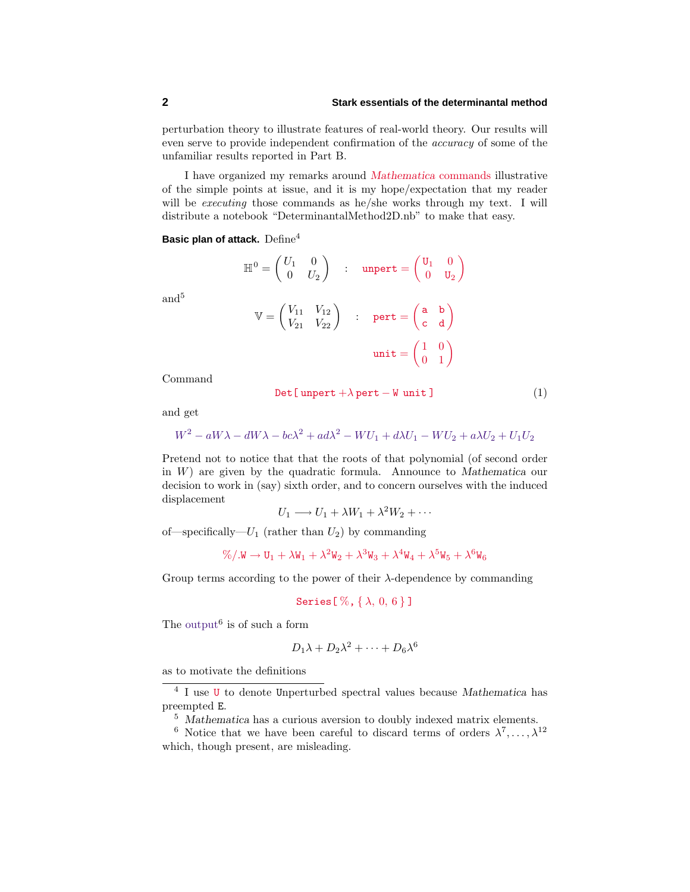perturbation theory to illustrate features of real-world theory. Our results will even serve to provide independent confirmation of the accuracy of some of the unfamiliar results reported in Part B.

I have organized my remarks around *Mathematica* commands illustrative of the simple points at issue, and it is my hope/expectation that my reader will be *executing* those commands as he/she works through my text. I will distribute a notebook "DeterminantalMethod2D.nb" to make that easy.

## **Basic plan of attack.** Define<sup>4</sup>

$$
\mathbb{H}^{0} = \begin{pmatrix} U_1 & 0 \\ 0 & U_2 \end{pmatrix} : \text{unpert} = \begin{pmatrix} \mathsf{U}_1 & 0 \\ 0 & \mathsf{U}_2 \end{pmatrix}
$$

$$
\mathbb{V} = \begin{pmatrix} V_{11} & V_{12} \\ V_{21} & V_{22} \end{pmatrix} : \text{pert} = \begin{pmatrix} \mathtt{a} & \mathtt{b} \\ \mathtt{c} & \mathtt{d} \end{pmatrix}
$$

$$
\text{unit} = \begin{pmatrix} 1 & 0 \\ 0 & 1 \end{pmatrix}
$$

Command

and<sup>5</sup>

$$
Det [ \text{ unpert} + \lambda \text{ pert} - W \text{ unit } ] \tag{1}
$$

and get

$$
W^2 - aW\lambda - dW\lambda - bc\lambda^2 + ad\lambda^2 - WU_1 + d\lambda U_1 - WU_2 + a\lambda U_2 + U_1U_2
$$

Pretend not to notice that that the roots of that polynomial (of second order in *W*) are given by the quadratic formula. Announce to *Mathematica* our decision to work in (say) sixth order, and to concern ourselves with the induced displacement

$$
U_1 \longrightarrow U_1 + \lambda W_1 + \lambda^2 W_2 + \cdots
$$

of—specifically— $U_1$  (rather than  $U_2$ ) by commanding

$$
\%/\mathbf{.W} \rightarrow \mathbf{U}_1 + \lambda \mathbf{W}_1 + \lambda^2 \mathbf{W}_2 + \lambda^3 \mathbf{W}_3 + \lambda^4 \mathbf{W}_4 + \lambda^5 \mathbf{W}_5 + \lambda^6 \mathbf{W}_6
$$

Group terms according to the power of their *λ*-dependence by commanding

Series[ %, { *λ,* 0*,* 6 } ]

The  $\mathrm{output}^6$  is of such a form

$$
D_1\lambda + D_2\lambda^2 + \cdots + D_6\lambda^6
$$

as to motivate the definitions

<sup>4</sup> I use U to denote Unperturbed spectral values because *Mathematica* has preempted E.

<sup>&</sup>lt;sup>5</sup> *Mathematica* has a curious aversion to doubly indexed matrix elements.

<sup>&</sup>lt;sup>6</sup> Notice that we have been careful to discard terms of orders  $\lambda^7, \ldots, \lambda^{12}$ which, though present, are misleading.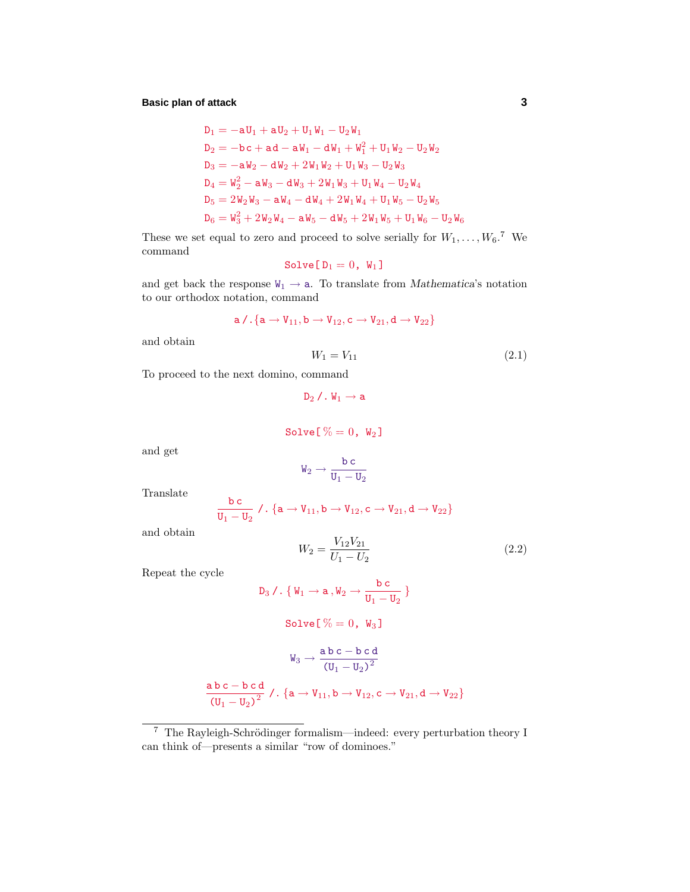## **Basic plan of attack 3**

$$
D_1 = -aU_1 + aU_2 + U_1W_1 - U_2W_1
$$
  
\n
$$
D_2 = -b c + a d - aW_1 - dW_1 + W_1^2 + U_1W_2 - U_2W_2
$$
  
\n
$$
D_3 = -aW_2 - dW_2 + 2W_1W_2 + U_1W_3 - U_2W_3
$$
  
\n
$$
D_4 = W_2^2 - aW_3 - dW_3 + 2W_1W_3 + U_1W_4 - U_2W_4
$$
  
\n
$$
D_5 = 2W_2W_3 - aW_4 - dW_4 + 2W_1W_4 + U_1W_5 - U_2W_5
$$
  
\n
$$
D_6 = W_3^2 + 2W_2W_4 - aW_5 - dW_5 + 2W_1W_5 + U_1W_6 - U_2W_6
$$

These we set equal to zero and proceed to solve serially for  $W_1, \ldots, W_6$ <sup>7</sup> We command

$$
\text{Solve} \, [\,D_1 = 0, \ W_1 \,]
$$

and get back the response  $\mathbb{W}_1 \to \texttt{a}$ . To translate from *Mathematica*'s notation to our orthodox notation, command

$$
\mathtt{a} \mathbin{/} . \{\mathtt{a} \mathbin{\rightarrow} \mathtt{V}_{11}, \mathtt{b} \mathbin{\rightarrow} \mathtt{V}_{12}, \mathtt{c} \mathbin{\rightarrow} \mathtt{V}_{21}, \mathtt{d} \mathbin{\rightarrow} \mathtt{V}_{22}\}
$$

and obtain

$$
W_1 = V_{11} \tag{2.1}
$$

To proceed to the next domino, command

$$
D_2 / . W_1 \rightarrow a
$$
  
Solve  $[ % \infty = 0, W_2]$   

$$
W_2 \rightarrow \frac{bc}{U_1 - U_2}
$$

Translate

and get

$$
\frac{\texttt{b}\,\texttt{c}}{\texttt{U}_1 - \texttt{U}_2} \mathbin{/.} \{\texttt{a} \rightarrow \texttt{V}_{11}, \texttt{b} \rightarrow \texttt{V}_{12}, \texttt{c} \rightarrow \texttt{V}_{21}, \texttt{d} \rightarrow \texttt{V}_{22}\}
$$

and obtain

$$
W_2 = \frac{V_{12}V_{21}}{U_1 - U_2} \tag{2.2}
$$

Repeat the cycle

$$
D_3 / . \{ W_1 \rightarrow a, W_2 \rightarrow \frac{b \ c}{U_1 - U_2} \}
$$
  
 
$$
Solve \left[ \% = 0, W_3 \right]
$$
  
 
$$
W_3 \rightarrow \frac{a b c - b c d}{(U_1 - U_2)^2}
$$
  

$$
\frac{a b c - b c d}{(U_1 - U_2)^2} / . \{a \rightarrow V_{11}, b \rightarrow V_{12}, c \rightarrow V_{21}, d \rightarrow V_{22} \}
$$

<sup>&</sup>lt;sup>7</sup> The Rayleigh-Schrödinger formalism—indeed: every perturbation theory I can think of—presents a similar "row of dominoes."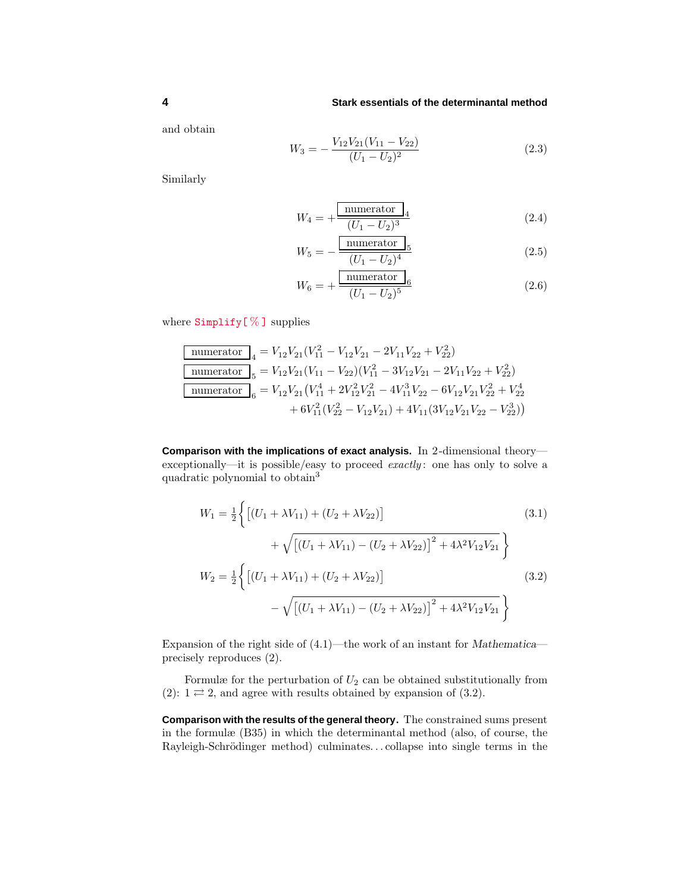#### **4 Stark essentials of the determinantal method**

and obtain

$$
W_3 = -\frac{V_{12}V_{21}(V_{11} - V_{22})}{(U_1 - U_2)^2}
$$
\n(2.3)

Similarly

$$
W_4 = +\frac{\boxed{\text{numerator}}_4}{(U_1 - U_2)^3} \tag{2.4}
$$

$$
W_5 = -\frac{\boxed{\text{numerator}}}{(U_1 - U_2)^4} \tag{2.5}
$$

$$
W_6 = + \frac{\boxed{\text{numerator}}}{(U_1 - U_2)^5} \tag{2.6}
$$

where Simplify [%] supplies

$$
\boxed{\frac{\text{numerator}}{\text{numerator}}_4 = V_{12}V_{21}(V_{11}^2 - V_{12}V_{21} - 2V_{11}V_{22} + V_{22}^2)}
$$
\n
$$
\boxed{\frac{\text{numerator}}{\text{numerator}}_5 = V_{12}V_{21}(V_{11} - V_{22})(V_{11}^2 - 3V_{12}V_{21} - 2V_{11}V_{22} + V_{22}^2)}
$$
\n
$$
\boxed{\frac{\text{numerator}}{\text{numerator}}_6 = V_{12}V_{21}(V_{11}^4 + 2V_{12}^2V_{21}^2 - 4V_{11}^3V_{22} - 6V_{12}V_{21}V_{22}^2 + V_{22}^4 + 6V_{11}^2(V_{22}^2 - V_{12}V_{21}) + 4V_{11}(3V_{12}V_{21}V_{22} - V_{22}^3))}
$$

**Comparison with the implications of exact analysis.** In 2-dimensional theory exceptionally—it is possible/easy to proceed *exactly*: one has only to solve a quadratic polynomial to obtain<sup>3</sup>

$$
W_1 = \frac{1}{2} \Biggl\{ \Biggl[ (U_1 + \lambda V_{11}) + (U_2 + \lambda V_{22}) \Biggr] + \sqrt{\Bigl[ (U_1 + \lambda V_{11}) - (U_2 + \lambda V_{22}) \Bigr]^2 + 4\lambda^2 V_{12} V_{21}} \Biggr\}
$$
(3.1)  

$$
W_2 = \frac{1}{2} \Biggl\{ \Biggl[ (U_1 + \lambda V_{11}) + (U_2 + \lambda V_{22}) \Biggr] - \sqrt{\Bigl[ (U_1 + \lambda V_{11}) - (U_2 + \lambda V_{22}) \Bigr]^2 + 4\lambda^2 V_{12} V_{21}} \Biggr\}
$$
(3.2)

Expansion of the right side of (4.1)—the work of an instant for *Mathematica* precisely reproduces (2).

Formulæ for the perturbation of  $U_2$  can be obtained substitutionally from (2):  $1 \rightleftarrows 2$ , and agree with results obtained by expansion of (3.2).

**Comparison with the results of the general theory.** The constrained sums present in the formulæ (B35) in which the determinantal method (also, of course, the Rayleigh-Schrödinger method) culminates...collapse into single terms in the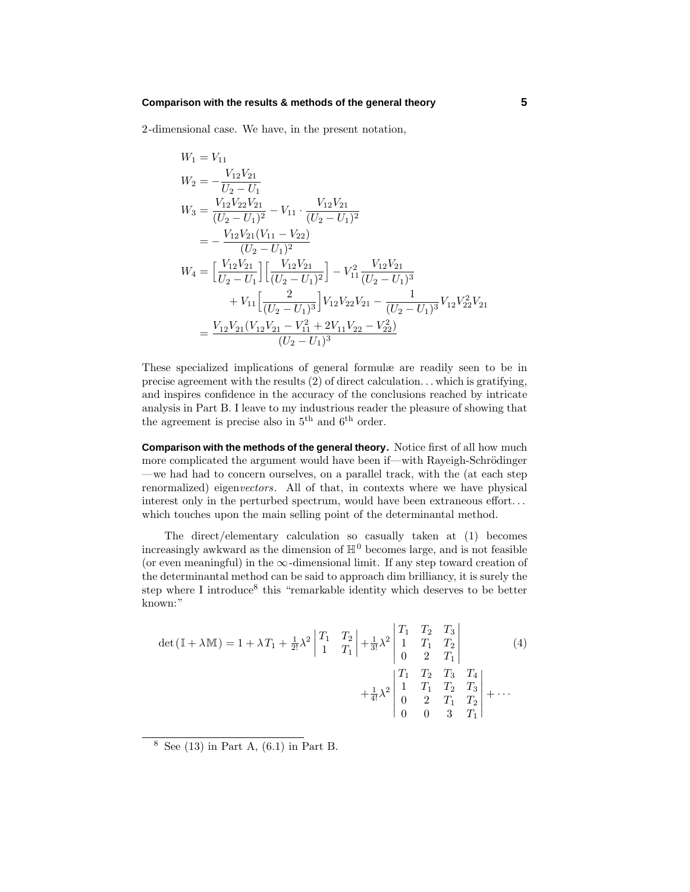#### **Comparison with the results & methods of the general theory 5**

2-dimensional case. We have, in the present notation,

$$
W_1 = V_{11}
$$
  
\n
$$
W_2 = -\frac{V_{12}V_{21}}{U_2 - U_1}
$$
  
\n
$$
W_3 = \frac{V_{12}V_{22}V_{21}}{(U_2 - U_1)^2} - V_{11} \cdot \frac{V_{12}V_{21}}{(U_2 - U_1)^2}
$$
  
\n
$$
= -\frac{V_{12}V_{21}(V_{11} - V_{22})}{(U_2 - U_1)^2}
$$
  
\n
$$
W_4 = \left[\frac{V_{12}V_{21}}{U_2 - U_1}\right] \left[\frac{V_{12}V_{21}}{(U_2 - U_1)^2}\right] - V_{11}^2 \frac{V_{12}V_{21}}{(U_2 - U_1)^3}
$$
  
\n
$$
+ V_{11} \left[\frac{2}{(U_2 - U_1)^3}\right] V_{12}V_{22}V_{21} - \frac{1}{(U_2 - U_1)^3} V_{12}V_{22}^2V_{21}
$$
  
\n
$$
= \frac{V_{12}V_{21}(V_{12}V_{21} - V_{11}^2 + 2V_{11}V_{22} - V_{22}^2)}{(U_2 - U_1)^3}
$$

These specialized implications of general formulæ are readily seen to be in precise agreement with the results (2) of direct calculation*...* which is gratifying, and inspires confidence in the accuracy of the conclusions reached by intricate analysis in Part B. I leave to my industrious reader the pleasure of showing that the agreement is precise also in  $5<sup>th</sup>$  and  $6<sup>th</sup>$  order.

**Comparison with the methods of the general theory.** Notice first of all how much more complicated the argument would have been if—with Rayeigh-Schrödinger —we had had to concern ourselves, on a parallel track, with the (at each step renormalized) eigenvectors. All of that, in contexts where we have physical interest only in the perturbed spectrum, would have been extraneous effort*...* which touches upon the main selling point of the determinantal method.

The direct/elementary calculation so casually taken at (1) becomes increasingly awkward as the dimension of  $\mathbb{H}^0$  becomes large, and is not feasible (or even meaningful) in the  $\infty$ -dimensional limit. If any step toward creation of the determinantal method can be said to approach dim brilliancy, it is surely the step where I introduce<sup>8</sup> this "remarkable identity which deserves to be better known:"

$$
\det(\mathbb{I} + \lambda \mathbb{M}) = 1 + \lambda T_1 + \frac{1}{2!} \lambda^2 \begin{vmatrix} T_1 & T_2 \\ 1 & T_1 \end{vmatrix} + \frac{1}{3!} \lambda^2 \begin{vmatrix} T_1 & T_2 & T_3 \\ 1 & T_1 & T_2 \\ 0 & 2 & T_1 \end{vmatrix}
$$
(4)  
+ 
$$
\frac{1}{4!} \lambda^2 \begin{vmatrix} T_1 & T_2 & T_3 & T_4 \\ 1 & T_1 & T_2 & T_3 \\ 0 & 2 & T_1 & T_2 \\ 0 & 0 & 3 & T_1 \end{vmatrix} + \cdots
$$

<sup>8</sup> See (13) in Part A, (6.1) in Part B.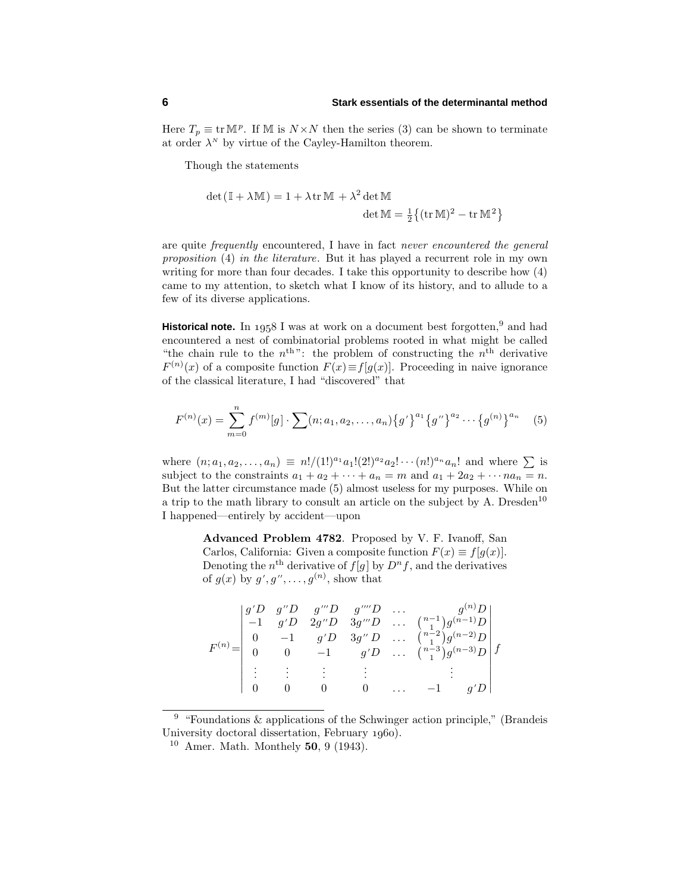### **6 Stark essentials of the determinantal method**

Here  $T_p \equiv \text{tr } \mathbb{M}^p$ . If M is  $N \times N$  then the series (3) can be shown to terminate at order  $\lambda^N$  by virtue of the Cayley-Hamilton theorem.

Though the statements

$$
\det(\mathbb{I} + \lambda \mathbb{M}) = 1 + \lambda \operatorname{tr} \mathbb{M} + \lambda^2 \det \mathbb{M}
$$

$$
\det \mathbb{M} = \frac{1}{2} \{ (\operatorname{tr} \mathbb{M})^2 - \operatorname{tr} \mathbb{M}^2 \}
$$

are quite frequently encountered, I have in fact never encountered the general proposition (4) in the literature. But it has played a recurrent role in my own writing for more than four decades. I take this opportunity to describe how (4) came to my attention, to sketch what I know of its history, and to allude to a few of its diverse applications.

**Historical note.** In  $1958$  I was at work on a document best forgotten,<sup>9</sup> and had encountered a nest of combinatorial problems rooted in what might be called "the chain rule to the  $n^{\text{th}}$ ": the problem of constructing the  $n^{\text{th}}$  derivative  $F^{(n)}(x)$  of a composite function  $F(x) \equiv f[g(x)]$ . Proceeding in naive ignorance of the classical literature, I had "discovered" that

$$
F^{(n)}(x) = \sum_{m=0}^{n} f^{(m)}[g] \cdot \sum (n; a_1, a_2, \dots, a_n) \{g'\}^{a_1} \{g''\}^{a_2} \cdots \{g^{(n)}\}^{a_n} \quad (5)
$$

where  $(n; a_1, a_2, \ldots, a_n) \equiv n!/(1!)^{a_1} a_1! (2!)^{a_2} a_2! \cdots (n!)^{a_n} a_n!$  and where  $\sum$  is subject to the constraints  $a_1 + a_2 + \cdots + a_n = m$  and  $a_1 + 2a_2 + \cdots + a_n = n$ . But the latter circumstance made (5) almost useless for my purposes. While on a trip to the math library to consult an article on the subject by A. Dresden<sup>10</sup> I happened—entirely by accident—upon

> **Advanced Problem 4782**. Proposed by V. F. Ivanoff, San Carlos, California: Given a composite function  $F(x) \equiv f[g(x)]$ . Denoting the *n*<sup>th</sup> derivative of  $f[g]$  by  $D^n f$ , and the derivatives of  $g(x)$  by  $g', g'', \ldots, g^{(n)}$ , show that

$$
F^{(n)} = \begin{vmatrix} g'D & g'''D & g'''D & \dots & g^{(n)}D \\ -1 & g'D & 2g''D & 3g'''D & \dots & \binom{n-1}{1}g^{(n-1)}D \\ 0 & -1 & g'D & 3g''D & \dots & \binom{n-2}{1}g^{(n-2)}D \\ 0 & 0 & -1 & g'D & \dots & \binom{n-3}{1}g^{(n-3)}D \\ \vdots & \vdots & \vdots & \vdots & \vdots & \vdots \\ 0 & 0 & 0 & 0 & \dots & -1 & g'D \end{vmatrix} f
$$

<sup>9</sup> "Foundations & applications of the Schwinger action principle," (Brandeis University doctoral dissertation, February 1960).

<sup>10</sup> Amer. Math. Monthely **50**, 9 (1943).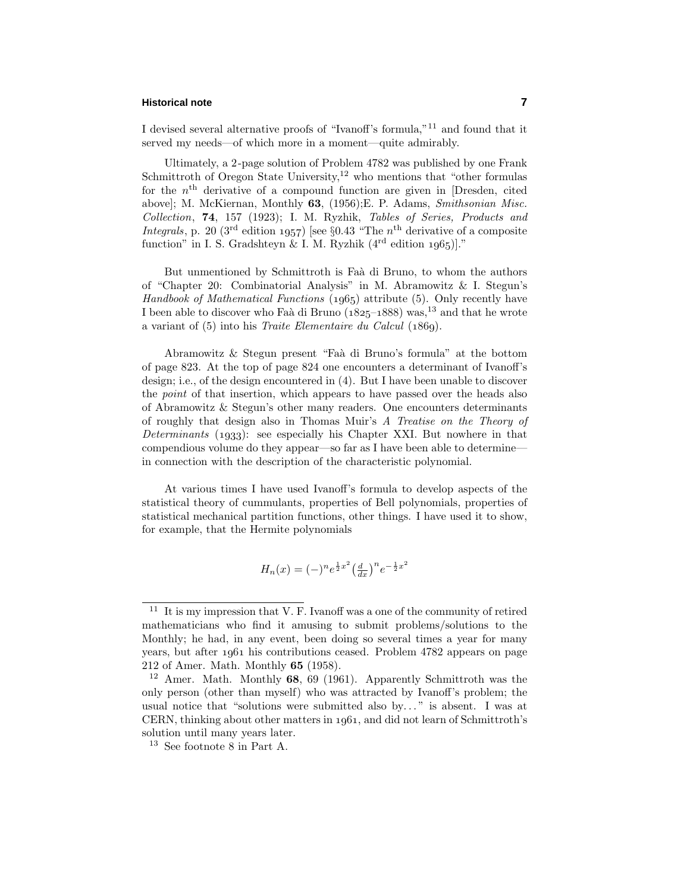## **Historical note 7**

I devised several alternative proofs of "Ivanoff's formula,"<sup>11</sup> and found that it served my needs—of which more in a moment—quite admirably.

Ultimately, a 2-page solution of Problem 4782 was published by one Frank Schmittroth of Oregon State University,  $12$  who mentions that "other formulas" for the  $n<sup>th</sup>$  derivative of a compound function are given in [Dresden, cited above]; M. McKiernan, Monthly **63**, (1956);E. P. Adams, Smithsonian Misc. Collection, **74**, 157 (1923); I. M. Ryzhik, Tables of Series, Products and Integrals, p. 20 (3<sup>rd</sup> edition 1957) [see  $\S 0.43$  "The  $n<sup>th</sup>$  derivative of a composite function" in I. S. Gradshteyn & I. M. Ryzhik  $(4^{rd}$  edition  $1065)$ ."

But unmentioned by Schmittroth is Faà di Bruno, to whom the authors of "Chapter 20: Combinatorial Analysis" in M. Abramowitz & I. Stegun's Handbook of Mathematical Functions  $(1965)$  attribute (5). Only recently have I been able to discover who Faà di Bruno ( $1825-1888$ ) was,<sup>13</sup> and that he wrote a variant of  $(5)$  into his *Traite Elementaire du Calcul* ( $1869$ ).

Abramowitz & Stegun present "Faà di Bruno's formula" at the bottom of page 823. At the top of page 824 one encounters a determinant of Ivanoff's design; i.e., of the design encountered in (4). But I have been unable to discover the point of that insertion, which appears to have passed over the heads also of Abramowitz & Stegun's other many readers. One encounters determinants of roughly that design also in Thomas Muir's A Treatise on the Theory of Determinants  $(1933)$ : see especially his Chapter XXI. But nowhere in that compendious volume do they appear—so far as I have been able to determine in connection with the description of the characteristic polynomial.

At various times I have used Ivanoff's formula to develop aspects of the statistical theory of cummulants, properties of Bell polynomials, properties of statistical mechanical partition functions, other things. I have used it to show, for example, that the Hermite polynomials

$$
H_n(x) = (-)^n e^{\frac{1}{2}x^2} \left(\frac{d}{dx}\right)^n e^{-\frac{1}{2}x^2}
$$

<sup>&</sup>lt;sup>11</sup> It is my impression that V. F. Ivanoff was a one of the community of retired mathematicians who find it amusing to submit problems/solutions to the Monthly; he had, in any event, been doing so several times a year for many years, but after 1961 his contributions ceased. Problem 4782 appears on page 212 of Amer. Math. Monthly **65** (1958).

<sup>12</sup> Amer. Math. Monthly **68**, 69 (1961). Apparently Schmittroth was the only person (other than myself) who was attracted by Ivanoff's problem; the usual notice that "solutions were submitted also by*...* " is absent. I was at CERN, thinking about other matters in  $1061$ , and did not learn of Schmittroth's solution until many years later.

<sup>13</sup> See footnote 8 in Part A.